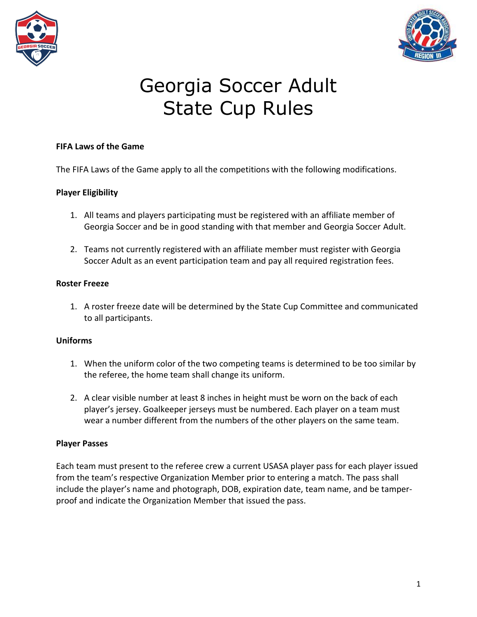



#### **FIFA Laws of the Game**

The FIFA Laws of the Game apply to all the competitions with the following modifications.

#### **Player Eligibility**

- 1. All teams and players participating must be registered with an affiliate member of Georgia Soccer and be in good standing with that member and Georgia Soccer Adult.
- 2. Teams not currently registered with an affiliate member must register with Georgia Soccer Adult as an event participation team and pay all required registration fees.

#### **Roster Freeze**

1. A roster freeze date will be determined by the State Cup Committee and communicated to all participants.

#### **Uniforms**

- 1. When the uniform color of the two competing teams is determined to be too similar by the referee, the home team shall change its uniform.
- 2. A clear visible number at least 8 inches in height must be worn on the back of each player's jersey. Goalkeeper jerseys must be numbered. Each player on a team must wear a number different from the numbers of the other players on the same team.

#### **Player Passes**

Each team must present to the referee crew a current USASA player pass for each player issued from the team's respective Organization Member prior to entering a match. The pass shall include the player's name and photograph, DOB, expiration date, team name, and be tamperproof and indicate the Organization Member that issued the pass.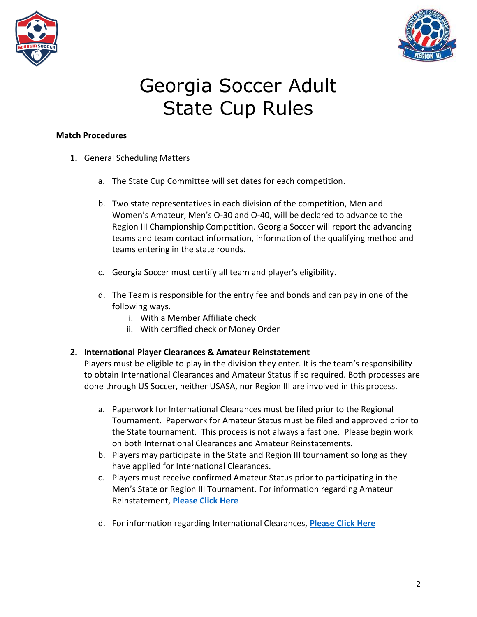



#### **Match Procedures**

- **1.** General Scheduling Matters
	- a. The State Cup Committee will set dates for each competition.
	- b. Two state representatives in each division of the competition, Men and Women's Amateur, Men's O-30 and O-40, will be declared to advance to the Region III Championship Competition. Georgia Soccer will report the advancing teams and team contact information, information of the qualifying method and teams entering in the state rounds.
	- c. Georgia Soccer must certify all team and player's eligibility.
	- d. The Team is responsible for the entry fee and bonds and can pay in one of the following ways.
		- i. With a Member Affiliate check
		- ii. With certified check or Money Order

## **2. International Player Clearances & Amateur Reinstatement**

Players must be eligible to play in the division they enter. It is the team's responsibility to obtain International Clearances and Amateur Status if so required. Both processes are done through US Soccer, neither USASA, nor Region III are involved in this process.

- a. Paperwork for International Clearances must be filed prior to the Regional Tournament. Paperwork for Amateur Status must be filed and approved prior to the State tournament. This process is not always a fast one. Please begin work on both International Clearances and Amateur Reinstatements.
- b. Players may participate in the State and Region III tournament so long as they have applied for International Clearances.
- c. Players must receive confirmed Amateur Status prior to participating in the Men's State or Region III Tournament. For information regarding Amateur Reinstatement, **[Please Click Here](https://www.georgiasoccer.org/file.aspx?DocumentId=2875)**
- d. For information regarding International Clearances, **[Please Click Here](https://www.ussoccer.com/federation-services/international-clearance/about)**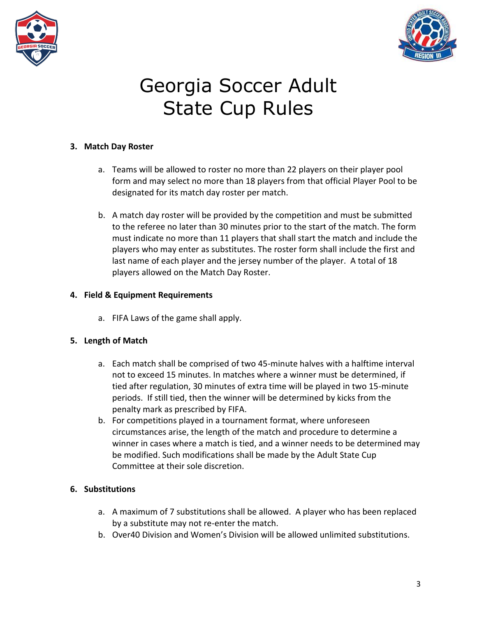



## **3. Match Day Roster**

- a. Teams will be allowed to roster no more than 22 players on their player pool form and may select no more than 18 players from that official Player Pool to be designated for its match day roster per match.
- b. A match day roster will be provided by the competition and must be submitted to the referee no later than 30 minutes prior to the start of the match. The form must indicate no more than 11 players that shall start the match and include the players who may enter as substitutes. The roster form shall include the first and last name of each player and the jersey number of the player. A total of 18 players allowed on the Match Day Roster.

## **4. Field & Equipment Requirements**

a. FIFA Laws of the game shall apply.

## **5. Length of Match**

- a. Each match shall be comprised of two 45-minute halves with a halftime interval not to exceed 15 minutes. In matches where a winner must be determined, if tied after regulation, 30 minutes of extra time will be played in two 15-minute periods. If still tied, then the winner will be determined by kicks from the penalty mark as prescribed by FIFA.
- b. For competitions played in a tournament format, where unforeseen circumstances arise, the length of the match and procedure to determine a winner in cases where a match is tied, and a winner needs to be determined may be modified. Such modifications shall be made by the Adult State Cup Committee at their sole discretion.

# **6. Substitutions**

- a. A maximum of 7 substitutions shall be allowed. A player who has been replaced by a substitute may not re-enter the match.
- b. Over40 Division and Women's Division will be allowed unlimited substitutions.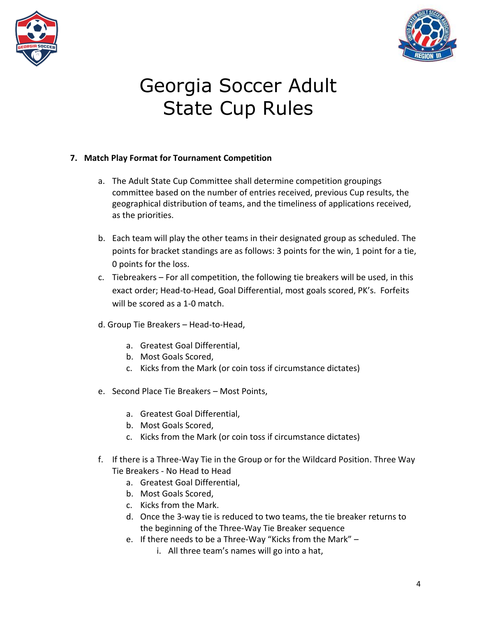



## **7. Match Play Format for Tournament Competition**

- a. The Adult State Cup Committee shall determine competition groupings committee based on the number of entries received, previous Cup results, the geographical distribution of teams, and the timeliness of applications received, as the priorities.
- b. Each team will play the other teams in their designated group as scheduled. The points for bracket standings are as follows: 3 points for the win, 1 point for a tie, 0 points for the loss.
- c. Tiebreakers For all competition, the following tie breakers will be used, in this exact order; Head-to-Head, Goal Differential, most goals scored, PK's. Forfeits will be scored as a 1-0 match.
- d. Group Tie Breakers Head-to-Head,
	- a. Greatest Goal Differential,
	- b. Most Goals Scored,
	- c. Kicks from the Mark (or coin toss if circumstance dictates)
- e. Second Place Tie Breakers Most Points,
	- a. Greatest Goal Differential,
	- b. Most Goals Scored,
	- c. Kicks from the Mark (or coin toss if circumstance dictates)
- f. If there is a Three-Way Tie in the Group or for the Wildcard Position. Three Way Tie Breakers - No Head to Head
	- a. Greatest Goal Differential,
	- b. Most Goals Scored,
	- c. Kicks from the Mark.
	- d. Once the 3-way tie is reduced to two teams, the tie breaker returns to the beginning of the Three-Way Tie Breaker sequence
	- e. If there needs to be a Three-Way "Kicks from the Mark"
		- i. All three team's names will go into a hat,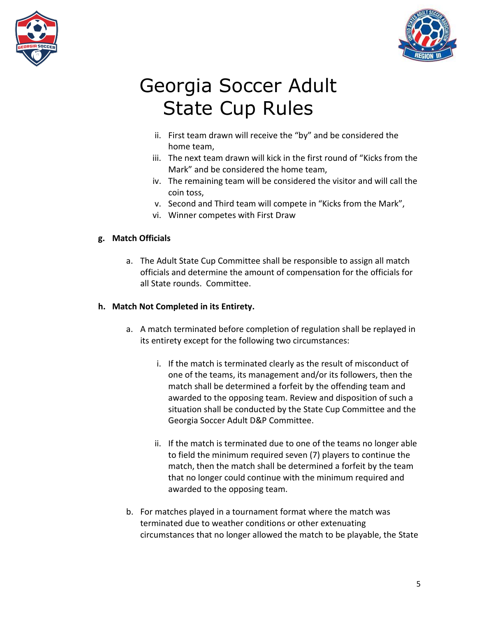



- ii. First team drawn will receive the "by" and be considered the home team,
- iii. The next team drawn will kick in the first round of "Kicks from the Mark" and be considered the home team,
- iv. The remaining team will be considered the visitor and will call the coin toss,
- v. Second and Third team will compete in "Kicks from the Mark",
- vi. Winner competes with First Draw

## **g. Match Officials**

a. The Adult State Cup Committee shall be responsible to assign all match officials and determine the amount of compensation for the officials for all State rounds. Committee.

## **h. Match Not Completed in its Entirety.**

- a. A match terminated before completion of regulation shall be replayed in its entirety except for the following two circumstances:
	- i. If the match is terminated clearly as the result of misconduct of one of the teams, its management and/or its followers, then the match shall be determined a forfeit by the offending team and awarded to the opposing team. Review and disposition of such a situation shall be conducted by the State Cup Committee and the Georgia Soccer Adult D&P Committee.
	- ii. If the match is terminated due to one of the teams no longer able to field the minimum required seven (7) players to continue the match, then the match shall be determined a forfeit by the team that no longer could continue with the minimum required and awarded to the opposing team.
- b. For matches played in a tournament format where the match was terminated due to weather conditions or other extenuating circumstances that no longer allowed the match to be playable, the State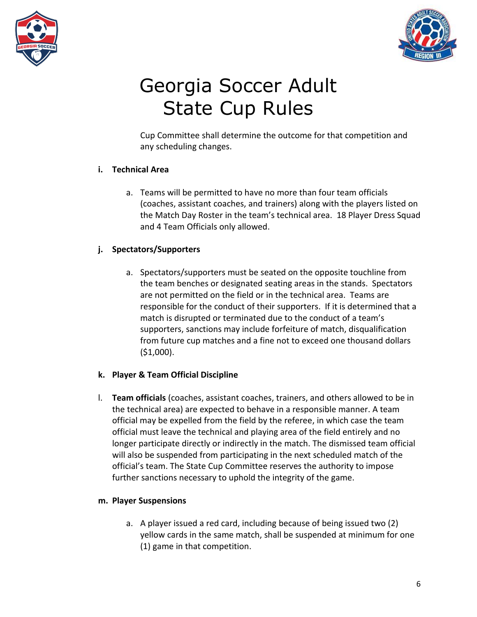



Cup Committee shall determine the outcome for that competition and any scheduling changes.

# **i. Technical Area**

a. Teams will be permitted to have no more than four team officials (coaches, assistant coaches, and trainers) along with the players listed on the Match Day Roster in the team's technical area. 18 Player Dress Squad and 4 Team Officials only allowed.

## **j. Spectators/Supporters**

a. Spectators/supporters must be seated on the opposite touchline from the team benches or designated seating areas in the stands. Spectators are not permitted on the field or in the technical area. Teams are responsible for the conduct of their supporters. If it is determined that a match is disrupted or terminated due to the conduct of a team's supporters, sanctions may include forfeiture of match, disqualification from future cup matches and a fine not to exceed one thousand dollars (\$1,000).

## **k. Player & Team Official Discipline**

l. **Team officials** (coaches, assistant coaches, trainers, and others allowed to be in the technical area) are expected to behave in a responsible manner. A team official may be expelled from the field by the referee, in which case the team official must leave the technical and playing area of the field entirely and no longer participate directly or indirectly in the match. The dismissed team official will also be suspended from participating in the next scheduled match of the official's team. The State Cup Committee reserves the authority to impose further sanctions necessary to uphold the integrity of the game.

## **m. Player Suspensions**

a. A player issued a red card, including because of being issued two (2) yellow cards in the same match, shall be suspended at minimum for one (1) game in that competition.